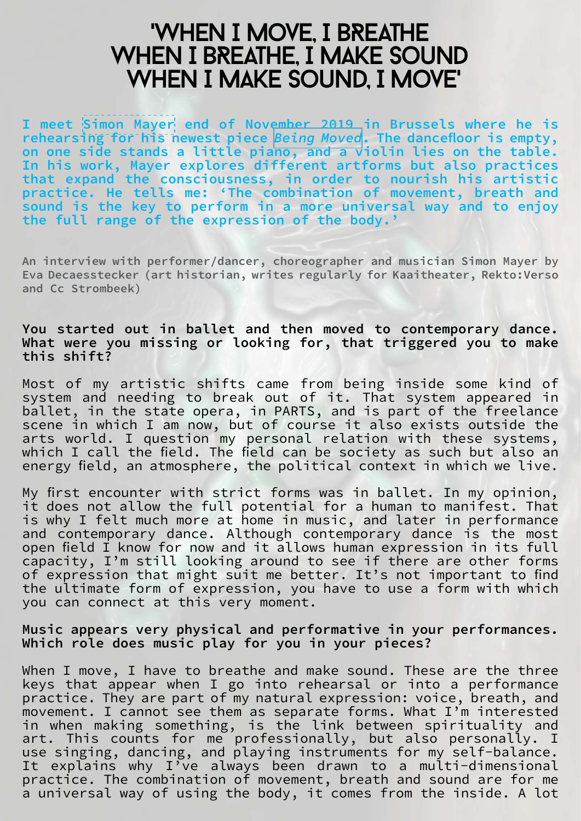## 'WHEN I MovE, I BREATHE WHEN I BREATHE, I MAKE SOUND WHEN I MAKE SOUND, I MOVE'

**I meet [Simon Mayer](https://www.hiros.be/en/artists/detail/simon-mayer--kopf-hoch) end of November 2019 in Brussels where he is rehearsing for his newest piece** *[Being Moved](https://www.hiros.be/en/projects/detail/being-moved)***. The dancefloor is empty, on one side stands a little piano, and a violin lies on the table. In his work, Mayer explores different artforms but also practices that expand the consciousness, in order to nourish his artistic practice. He tells me: 'The combination of movement, breath and sound is the key to perform in a more universal way and to enjoy the full range of the expression of the body.'**

**An interview with performer/dancer, choreographer and musician Simon Mayer by Eva Decaesstecker (art historian, writes regularly for Kaaitheater, Rekto:Verso and Cc Strombeek)**

## **You started out in ballet and then moved to contemporary dance. What were you missing or looking for, that triggered you to make this shift?**

Most of my artistic shifts came from being inside some kind of system and needing to break out of it. That system appeared in ballet, in the state opera, in PARTS, and is part of the freelance scene in which I am now, but of course it also exists outside the arts world. I question my personal relation with these systems, which I call the field. The field can be society as such but also an energy field, an atmosphere, the political context in which we live.

My first encounter with strict forms was in ballet. In my opinion, it does not allow the full potential for a human to manifest. That is why I felt much more at home in music, and later in performance and contemporary dance. Although contemporary dance is the most open field I know for now and it allows human expression in its full capacity, I'm still looking around to see if there are other forms of expression that might suit me better. It's not important to find the ultimate form of expression, you have to use a form with which you can connect at this very moment.

## **Music appears very physical and performative in your performances. Which role does music play for you in your pieces?**

When I move, I have to breathe and make sound. These are the three keys that appear when I go into rehearsal or into a performance practice. They are part of my natural expression: voice, breath, and movement. I cannot see them as separate forms. What I'm interested in when making something, is the link between spirituality and art. This counts for me professionally, but also personally. I use singing, dancing, and playing instruments for my self-balance. It explains why I've always been drawn to a multi-dimensional practice. The combination of movement, breath and sound are for me a universal way of using the body, it comes from the inside. A lot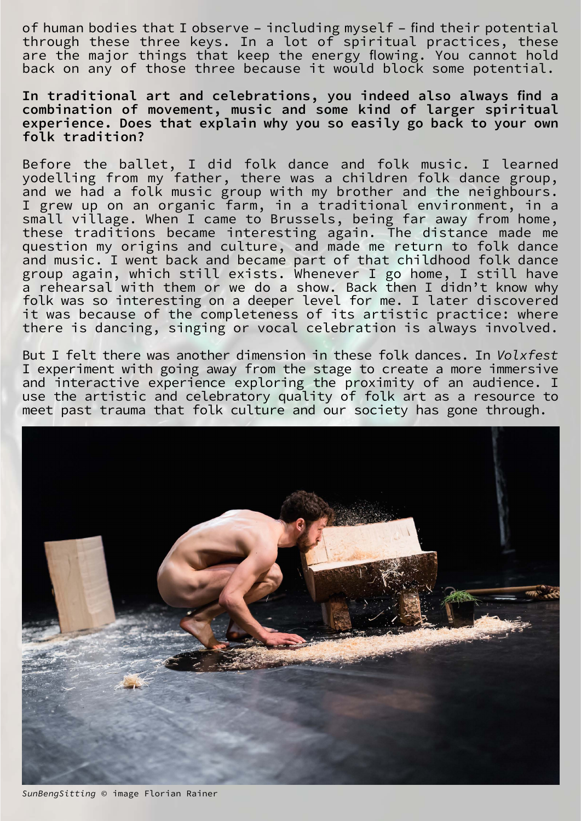of human bodies that I observe – including myself – find their potential through these three keys. In a lot of spiritual practices, these are the major things that keep the energy flowing. You cannot hold back on any of those three because it would block some potential.

**In traditional art and celebrations, you indeed also always find a combination of movement, music and some kind of larger spiritual experience. Does that explain why you so easily go back to your own folk tradition?**

Before the ballet, I did folk dance and folk music. I learned yodelling from my father, there was a children folk dance group, and we had a folk music group with my brother and the neighbours. I grew up on an organic farm, in a traditional environment, in a small village. When I came to Brussels, being far away from home, these traditions became interesting again. The distance made me question my origins and culture, and made me return to folk dance and music. I went back and became part of that childhood folk dance group again, which still exists. Whenever I go home, I still have a rehearsal with them or we do a show. Back then I didn't know why folk was so interesting on a deeper level for me. I later discovered it was because of the completeness of its artistic practice: where there is dancing, singing or vocal celebration is always involved.

But I felt there was another dimension in these folk dances. In *Volxfest*  I experiment with going away from the stage to create a more immersive and interactive experience exploring the proximity of an audience. I use the artistic and celebratory quality of folk art as a resource to meet past trauma that folk culture and our society has gone through.

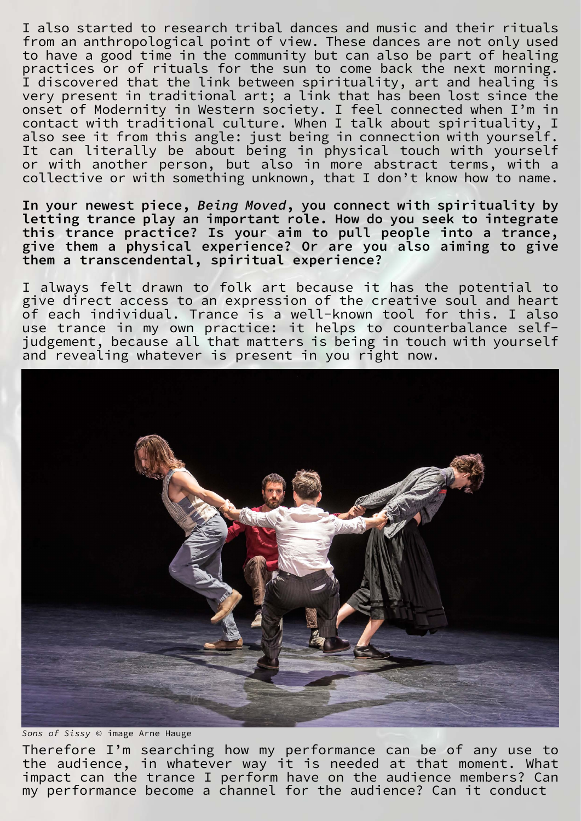I also started to research tribal dances and music and their rituals from an anthropological point of view. These dances are not only used to have a good time in the community but can also be part of healing practices or of rituals for the sun to come back the next morning. I discovered that the link between spirituality, art and healing is very present in traditional art; a link that has been lost since the onset of Modernity in Western society. I feel connected when I'm in contact with traditional culture. When I talk about spirituality, I also see it from this angle: just being in connection with yourself. It can literally be about being in physical touch with yourself or with another person, but also in more abstract terms, with a collective or with something unknown, that I don't know how to name.

**In your newest piece,** *Being Moved***, you connect with spirituality by letting trance play an important role. How do you seek to integrate this trance practice? Is your aim to pull people into a trance, give them a physical experience? Or are you also aiming to give them a transcendental, spiritual experience?**

I always felt drawn to folk art because it has the potential to give direct access to an expression of the creative soul and heart of each individual. Trance is a well-known tool for this. I also use trance in my own practice: it helps to counterbalance selfjudgement, because all that matters is being in touch with yourself and revealing whatever is present in you right now.



*Sons of Sissy* © image Arne Hauge

Therefore I'm searching how my performance can be of any use to the audience, in whatever way it is needed at that moment. What impact can the trance I perform have on the audience members? Can my performance become a channel for the audience? Can it conduct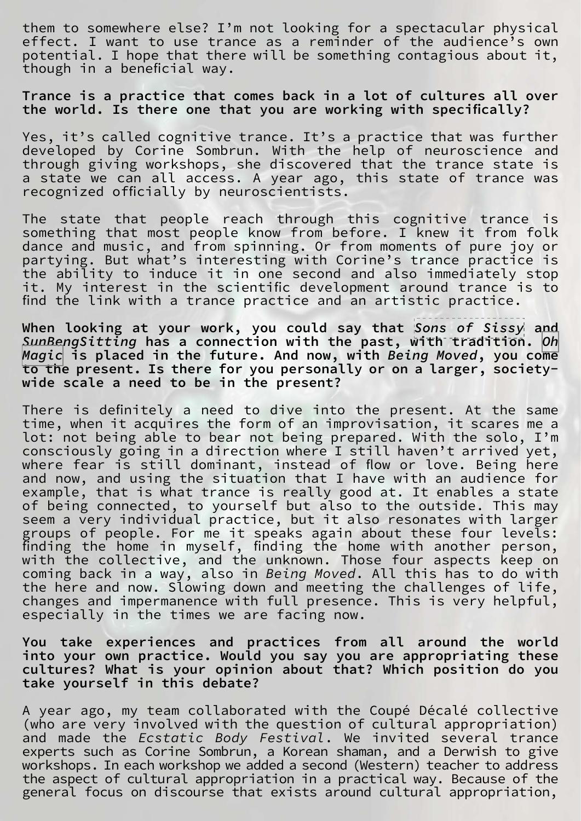them to somewhere else? I'm not looking for a spectacular physical effect. I want to use trance as a reminder of the audience's own potential. I hope that there will be something contagious about it, though in a beneficial way.

**Trance is a practice that comes back in a lot of cultures all over the world. Is there one that you are working with specifically?**

Yes, it's called cognitive trance. It's a practice that was further developed by Corine Sombrun. With the help of neuroscience and through giving workshops, she discovered that the trance state is a state we can all access. A year ago, this state of trance was recognized officially by neuroscientists.

The state that people reach through this cognitive trance is something that most people know from before. I knew it from folk dance and music, and from spinning. Or from moments of pure joy or partying. But what's interesting with Corine's trance practice is the ability to induce it in one second and also immediately stop it. My interest in the scientific development around trance is to find the link with a trance practice and an artistic practice.

**When looking at your work, you could say that** *[Sons of Sissy](https://www.hiros.be/en/projects/detail/sons-of-sissy)* **and**  *SunBengSitting* **has a connection with the past, with tradition.** *[Oh](https://www.hiros.be/en/projects/detail/oh-magic)  [Magic](https://www.hiros.be/en/projects/detail/oh-magic)* **is placed in the future. And now, with** *Being Moved***, you come to the present. Is there for you personally or on a larger, societywide scale a need to be in the present?** 

There is definitely a need to dive into the present. At the same time, when it acquires the form of an improvisation, it scares me a lot: not being able to bear not being prepared. With the solo, I'm consciously going in a direction where I still haven't arrived yet, where fear is still dominant, instead of flow or love. Being here and now, and using the situation that I have with an audience for example, that is what trance is really good at. It enables a state of being connected, to yourself but also to the outside. This may seem a very individual practice, but it also resonates with larger groups of people. For me it speaks again about these four levels: finding the home in myself, finding the home with another person, with the collective, and the unknown. Those four aspects keep on coming back in a way, also in *Being Moved*. All this has to do with the here and now. Slowing down and meeting the challenges of life, changes and impermanence with full presence. This is very helpful, especially in the times we are facing now.

**You take experiences and practices from all around the world into your own practice. Would you say you are appropriating these cultures? What is your opinion about that? Which position do you take yourself in this debate?**

A year ago, my team collaborated with the Coupé Décalé collective (who are very involved with the question of cultural appropriation) and made the *Ecstatic Body Festival*. We invited several trance experts such as Corine Sombrun, a Korean shaman, and a Derwish to give workshops. In each workshop we added a second (Western) teacher to address the aspect of cultural appropriation in a practical way. Because of the general focus on discourse that exists around cultural appropriation,